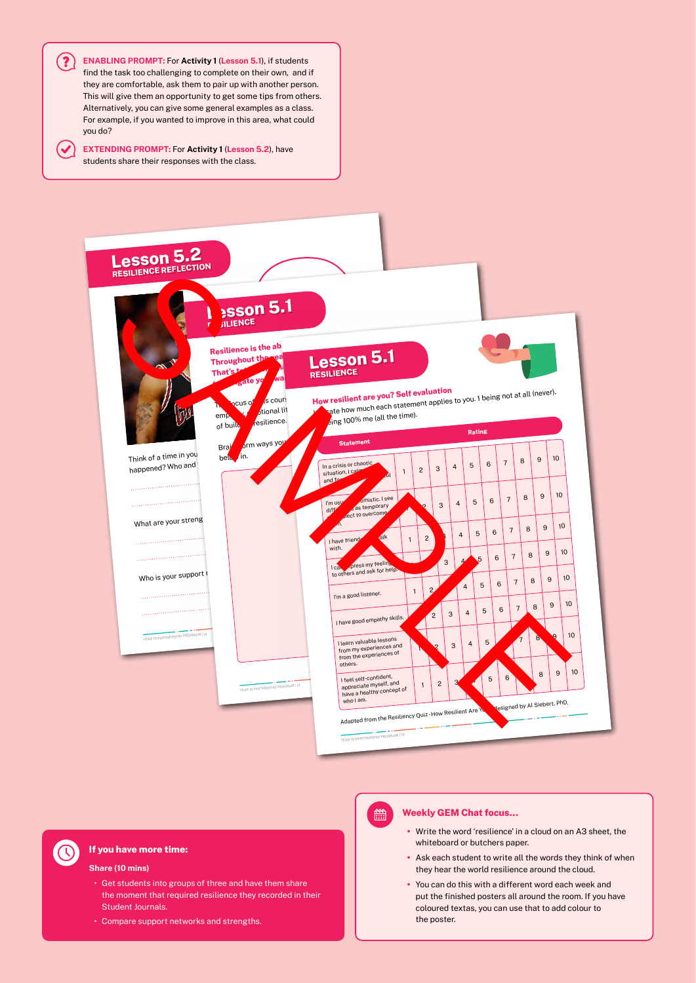



# **If you have more time:**

#### **Share (10 mins)**

- Get students into groups of three and have them share the moment that required resilience they recorded in their Student Journals.
- Compare support networks and strengths.

# 體

#### **Weekly GEM Chat focus…**

- Write the word 'resilience' in a cloud on an A3 sheet, the whiteboard or butchers paper.
- Ask each student to write all the words they think of when they hear the world resilience around the cloud.
- You can do this with a different word each week and put the finished posters all around the room. If you have coloured textas, you can use that to add colour to the poster.